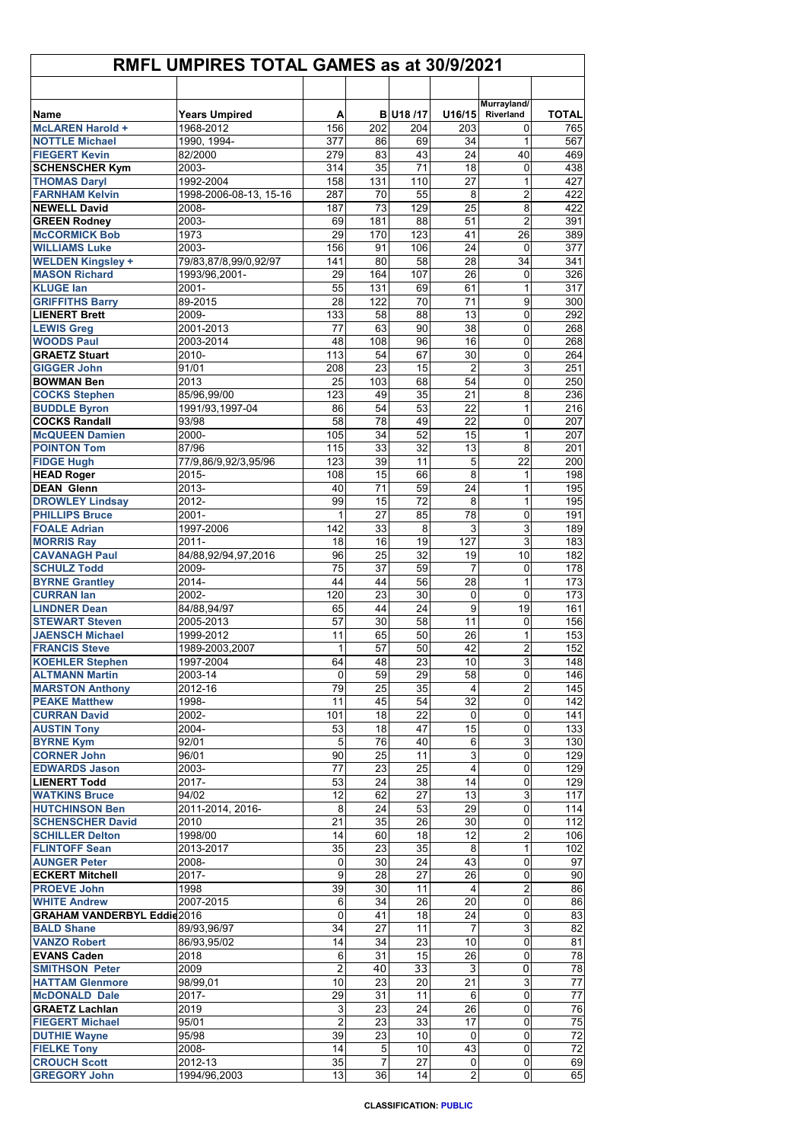| <b>RMFL UMPIRES TOTAL GAMES as at 30/9/2021</b>           |                               |                |                 |                  |                       |                               |                           |  |  |
|-----------------------------------------------------------|-------------------------------|----------------|-----------------|------------------|-----------------------|-------------------------------|---------------------------|--|--|
|                                                           |                               |                |                 |                  |                       |                               |                           |  |  |
| Name                                                      | <b>Years Umpired</b>          | А              |                 | <b>B</b> U18 /17 | U16/15                | Murrayland/<br>Riverland      | <b>TOTAL</b>              |  |  |
| <b>McLAREN Harold +</b>                                   | 1968-2012                     | 156            | 202             | 204              | 203                   | 0                             | 765                       |  |  |
| <b>NOTTLE Michael</b>                                     | 1990. 1994-                   | 377            | 86              | 69               | 34                    | 1                             | 567                       |  |  |
| <b>FIEGERT Kevin</b>                                      | 82/2000                       | 279            | 83              | 43               | 24                    | 40                            | 469                       |  |  |
| <b>SCHENSCHER Kym</b><br><b>THOMAS Daryl</b>              | 2003-<br>1992-2004            | 314<br>158     | 35<br>131       | 71<br>110        | 18<br>27              | 0<br>1                        | 438<br>427                |  |  |
| <b>FARNHAM Kelvin</b>                                     | 1998-2006-08-13, 15-16        | 287            | 70              | 55               | 8                     | $\overline{2}$                | 422                       |  |  |
| <b>NEWELL David</b>                                       | 2008-                         | 187            | 73              | 129              | 25                    | 8                             | 422                       |  |  |
| <b>GREEN Rodney</b><br><b>McCORMICK Bob</b>               | 2003-<br>1973                 | 69<br>29       | 181<br>170      | 88<br>123        | 51<br>41              | $\overline{2}$<br>26          | 391                       |  |  |
| <b>WILLIAMS Luke</b>                                      | 2003-                         | 156            | 91              | 106              | 24                    | 0                             | 389<br>377                |  |  |
| <b>WELDEN Kingsley +</b>                                  | 79/83,87/8,99/0,92/97         | 141            | 80              | 58               | 28                    | 34                            | 341                       |  |  |
| <b>MASON Richard</b>                                      | 1993/96.2001-                 | 29             | 164             | 107              | 26                    | 0                             | 326                       |  |  |
| <b>KLUGE lan</b>                                          | $2001 -$                      | 55             | 131             | 69               | 61                    | 1                             | 317                       |  |  |
| <b>GRIFFITHS Barry</b><br><b>LIENERT Brett</b>            | 89-2015<br>2009-              | 28<br>133      | 122<br>58       | 70<br>88         | 71<br>13              | 9<br>0                        | 300<br>292                |  |  |
| <b>LEWIS Greg</b>                                         | 2001-2013                     | 77             | 63              | 90               | 38                    | 0                             | 268                       |  |  |
| <b>WOODS Paul</b>                                         | 2003-2014                     | 48             | 108             | 96               | 16                    | 0                             | 268                       |  |  |
| <b>GRAETZ Stuart</b>                                      | 2010-                         | 113            | 54              | 67               | 30                    | 0                             | 264                       |  |  |
| <b>GIGGER John</b><br><b>BOWMAN Ben</b>                   | 91/01                         | 208            | 23              | 15               | $\overline{2}$        | 3                             | 251                       |  |  |
| <b>COCKS Stephen</b>                                      | 2013<br>85/96,99/00           | 25<br>123      | 103<br>49       | 68<br>35         | 54<br>21              | 0<br>8                        | 250<br>236                |  |  |
| <b>BUDDLE Byron</b>                                       | 1991/93,1997-04               | 86             | 54              | 53               | $\overline{22}$       | 1                             | 216                       |  |  |
| <b>COCKS Randall</b>                                      | 93/98                         | 58             | 78              | 49               | 22                    | 0                             | 207                       |  |  |
| <b>McQUEEN Damien</b>                                     | 2000-                         | 105            | 34              | 52               | 15                    | 1                             | 207                       |  |  |
| <b>POINTON Tom</b>                                        | 87/96<br>77/9,86/9,92/3,95/96 | 115<br>123     | 33<br>39        | 32<br>11         | 13<br>5               | 8<br>22                       | 201<br>200                |  |  |
| <b>FIDGE Hugh</b><br><b>HEAD Roger</b>                    | 2015-                         | 108            | 15              | 66               | 8                     | 1                             | 198                       |  |  |
| <b>DEAN Glenn</b>                                         | 2013-                         | 40             | 71              | 59               | 24                    | 1                             | 195                       |  |  |
| <b>DROWLEY Lindsay</b>                                    | 2012-                         | 99             | 15              | $\overline{72}$  | 8                     | 1                             | 195                       |  |  |
| <b>PHILLIPS Bruce</b>                                     | 2001-                         | 1              | 27              | 85               | 78                    | $\mathbf 0$                   | 191                       |  |  |
| <b>FOALE Adrian</b><br><b>MORRIS Ray</b>                  | 1997-2006<br>$2011 -$         | 142<br>18      | 33<br>16        | 8<br>19          | 3<br>127              | 3<br>3                        | 189<br>183                |  |  |
| <b>CAVANAGH Paul</b>                                      | 84/88,92/94,97,2016           | 96             | 25              | 32               | 19                    | 10                            | 182                       |  |  |
| <b>SCHULZ Todd</b>                                        | 2009-                         | 75             | 37              | 59               | $\overline{7}$        | 0                             | 178                       |  |  |
| <b>BYRNE Grantlev</b>                                     | 2014-                         | 44             | 44              | 56               | 28                    | 1                             | 173                       |  |  |
| <b>CURRAN lan</b>                                         | 2002-                         | 120            | $\overline{23}$ | 30               | 0                     | 0                             | $\overline{173}$          |  |  |
| <b>LINDNER Dean</b><br><b>STEWART Steven</b>              | 84/88,94/97<br>2005-2013      | 65<br>57       | 44<br>30        | 24<br>58         | 9<br>11               | 19<br>0                       | 161<br>156                |  |  |
| <b>JAENSCH Michael</b>                                    | 1999-2012                     | 11             | 65              | 50               | 26                    | 1                             | 153                       |  |  |
| <b>FRANCIS Steve</b>                                      | 1989-2003,2007                | 1              | 57              | 50               | 42                    | 2                             | 152                       |  |  |
| <b>KOEHLER Stephen</b>                                    | 1997-2004                     | 64             | 48              | 23               | 10                    | 3                             | 148                       |  |  |
| <b>ALTMANN Martin</b><br><b>MARSTON Anthony</b>           | 2003-14<br>2012-16            | 0<br>79        | 59<br>25        | 29<br>35         | 58<br>4               | 0<br>$\overline{c}$           | 146<br>145                |  |  |
| <b>PEAKE Matthew</b>                                      | 1998-                         | 11             | 45              | 54               | 32                    | $\pmb{0}$                     | 142                       |  |  |
| <b>CURRAN David</b>                                       | 2002-                         | 101            | 18              | 22               | 0                     | 0                             | 141                       |  |  |
| <b>AUSTIN Tony</b>                                        | 2004-                         | 53             | 18              | 47               | 15                    | 0                             | 133                       |  |  |
| <b>BYRNE Kym</b>                                          | 92/01                         | 5              | 76              | 40               | 6                     | 3                             | 130                       |  |  |
| <b>CORNER John</b><br><b>EDWARDS Jason</b>                | 96/01<br>2003-                | 90<br>77       | 25<br>23        | 11<br>25         | 3<br>4                | 0<br>0                        | 129<br>129                |  |  |
| <b>LIENERT Todd</b>                                       | 2017-                         | 53             | 24              | 38               | 14                    | 0                             | 129                       |  |  |
| <b>WATKINS Bruce</b>                                      | 94/02                         | 12             | 62              | 27               | 13                    | 3                             | 117                       |  |  |
| <b>HUTCHINSON Ben</b>                                     | 2011-2014, 2016-              | 8              | 24              | 53               | 29                    | 0                             | 114                       |  |  |
| <b>SCHENSCHER David</b><br><b>SCHILLER Delton</b>         | 2010<br>1998/00               | 21<br>14       | 35<br>60        | 26<br>18         | 30<br>12              | $\mathbf 0$<br>$\overline{c}$ | 112<br>106                |  |  |
| <b>FLINTOFF Sean</b>                                      | 2013-2017                     | 35             | 23              | 35               | 8                     | 1                             | 102                       |  |  |
| <b>AUNGER Peter</b>                                       | 2008-                         | 0              | 30              | 24               | 43                    | 0                             | 97                        |  |  |
| <b>ECKERT Mitchell</b>                                    | 2017-                         | 9              | 28              | 27               | 26                    | 0                             | 90                        |  |  |
| <b>PROEVE John</b>                                        | 1998                          | 39             | 30              | 11               | 4                     | $\overline{\mathbf{c}}$       | 86                        |  |  |
| <b>WHITE Andrew</b><br><b>GRAHAM VANDERBYL Eddie 2016</b> | 2007-2015                     | 6<br>$\Omega$  | 34<br>41        | 26<br>18         | 20<br>24              | 0<br>0                        | 86<br>83                  |  |  |
| <b>BALD Shane</b>                                         | 89/93,96/97                   | 34             | 27              | 11               | $\overline{7}$        | $\overline{3}$                | 82                        |  |  |
| <b>VANZO Robert</b>                                       | 86/93,95/02                   | 14             | 34              | 23               | 10                    | $\mathbf 0$                   | $\overline{\mathbf{8}}$ 1 |  |  |
| <b>EVANS Caden</b>                                        | 2018                          | 6              | 31              | 15               | 26                    | 0                             | 78                        |  |  |
| <b>SMITHSON Peter</b>                                     | 2009                          | 2              | 40              | 33               | 3                     | 0                             | 78                        |  |  |
| <b>HATTAM Glenmore</b><br><b>McDONALD Dale</b>            | 98/99,01<br>2017-             | 10<br>29       | 23<br>31        | 20<br>11         | 21<br>6               | 3<br>0                        | 77<br>77                  |  |  |
| <b>GRAETZ Lachlan</b>                                     | 2019                          | 3              | 23              | 24               | 26                    | $\overline{0}$                | 76                        |  |  |
| <b>FIEGERT Michael</b>                                    | 95/01                         | $\overline{2}$ | 23              | 33               | 17                    | 0                             | 75                        |  |  |
| <b>DUTHIE Wayne</b>                                       | 95/98                         | 39             | 23              | 10               | 0                     | 0                             | 72                        |  |  |
| <b>FIELKE Tony</b>                                        | 2008-                         | 14             | 5               | 10               | 43                    | 0                             | 72                        |  |  |
| <b>CROUCH Scott</b><br><b>GREGORY John</b>                | 2012-13<br>1994/96,2003       | 35<br>13       | 7<br>36         | 27<br>14         | 0<br>$\boldsymbol{2}$ | 0<br>0                        | 69<br>65                  |  |  |